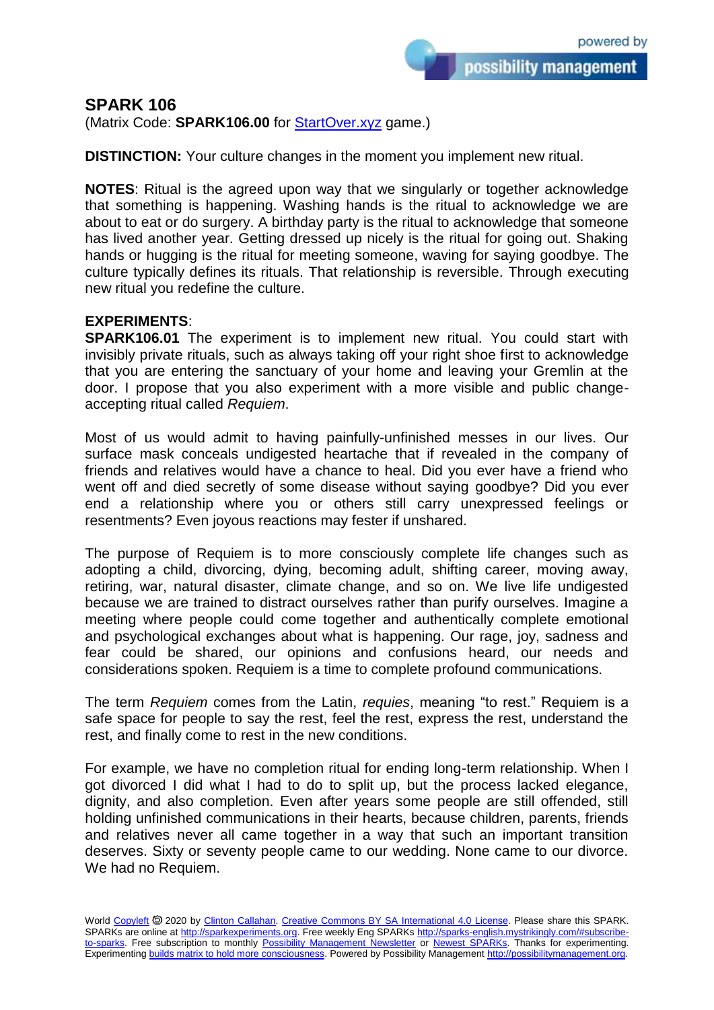possibility management

## **SPARK 106**

(Matrix Code: **SPARK106.00** for [StartOver.xyz](https://startoverxyz.mystrikingly.com/) game.)

**DISTINCTION:** Your culture changes in the moment you implement new ritual.

**NOTES**: Ritual is the agreed upon way that we singularly or together acknowledge that something is happening. Washing hands is the ritual to acknowledge we are about to eat or do surgery. A birthday party is the ritual to acknowledge that someone has lived another year. Getting dressed up nicely is the ritual for going out. Shaking hands or hugging is the ritual for meeting someone, waving for saying goodbye. The culture typically defines its rituals. That relationship is reversible. Through executing new ritual you redefine the culture.

## **EXPERIMENTS**:

**SPARK106.01** The experiment is to implement new ritual. You could start with invisibly private rituals, such as always taking off your right shoe first to acknowledge that you are entering the sanctuary of your home and leaving your Gremlin at the door. I propose that you also experiment with a more visible and public changeaccepting ritual called *Requiem*.

Most of us would admit to having painfully-unfinished messes in our lives. Our surface mask conceals undigested heartache that if revealed in the company of friends and relatives would have a chance to heal. Did you ever have a friend who went off and died secretly of some disease without saying goodbye? Did you ever end a relationship where you or others still carry unexpressed feelings or resentments? Even joyous reactions may fester if unshared.

The purpose of Requiem is to more consciously complete life changes such as adopting a child, divorcing, dying, becoming adult, shifting career, moving away, retiring, war, natural disaster, climate change, and so on. We live life undigested because we are trained to distract ourselves rather than purify ourselves. Imagine a meeting where people could come together and authentically complete emotional and psychological exchanges about what is happening. Our rage, joy, sadness and fear could be shared, our opinions and confusions heard, our needs and considerations spoken. Requiem is a time to complete profound communications.

The term *Requiem* comes from the Latin, *requies*, meaning "to rest." Requiem is a safe space for people to say the rest, feel the rest, express the rest, understand the rest, and finally come to rest in the new conditions.

For example, we have no completion ritual for ending long-term relationship. When I got divorced I did what I had to do to split up, but the process lacked elegance, dignity, and also completion. Even after years some people are still offended, still holding unfinished communications in their hearts, because children, parents, friends and relatives never all came together in a way that such an important transition deserves. Sixty or seventy people came to our wedding. None came to our divorce. We had no Requiem.

World [Copyleft](https://en.wikipedia.org/wiki/Copyleft) <sup>5</sup> 2020 by [Clinton Callahan.](http://clintoncallahan.mystrikingly.com/) [Creative Commons BY SA International 4.0 License.](https://creativecommons.org/licenses/by-sa/4.0/) Please share this SPARK. SPARKs are online at [http://sparkexperiments.org.](http://sparks-english.mystrikingly.com/) Free weekly Eng SPARKs [http://sparks-english.mystrikingly.com/#subscribe](http://sparks-english.mystrikingly.com/#subscribe-to-sparks)[to-sparks.](http://sparks-english.mystrikingly.com/#subscribe-to-sparks) Free subscription to monthly [Possibility Management Newsletter](https://possibilitymanagement.org/news/) or Newest [SPARKs.](https://www.clintoncallahan.org/newsletter-1) Thanks for experimenting. Experimentin[g builds matrix to hold more consciousness.](http://spaceport.mystrikingly.com/) Powered by Possibility Managemen[t http://possibilitymanagement.org.](http://possibilitymanagement.org/)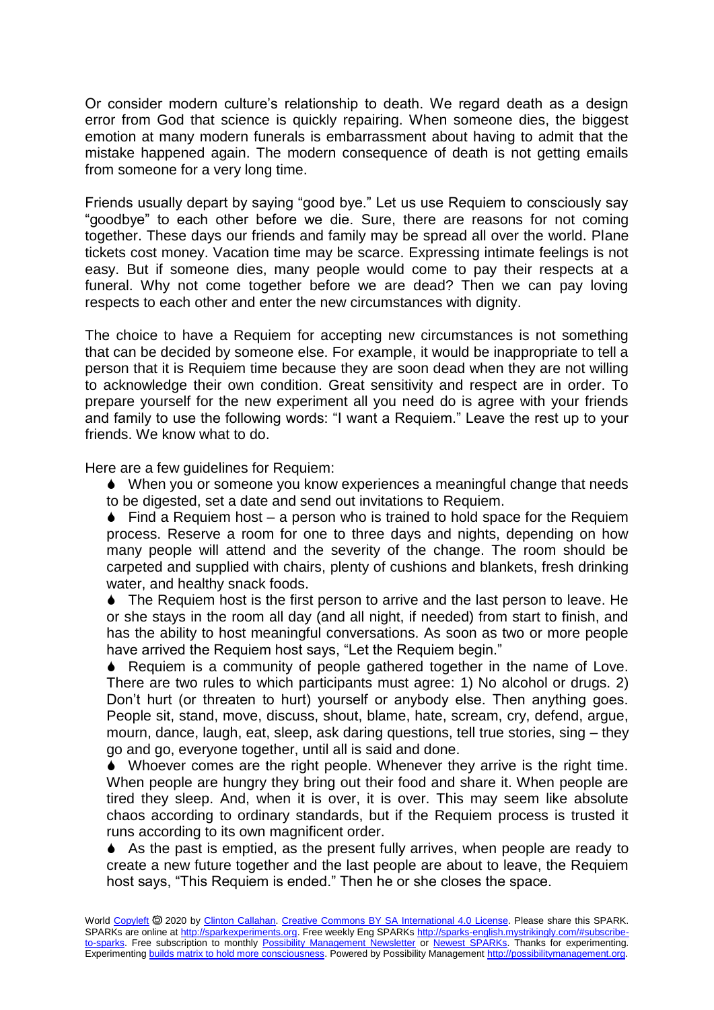Or consider modern culture's relationship to death. We regard death as a design error from God that science is quickly repairing. When someone dies, the biggest emotion at many modern funerals is embarrassment about having to admit that the mistake happened again. The modern consequence of death is not getting emails from someone for a very long time.

Friends usually depart by saying "good bye." Let us use Requiem to consciously say "goodbye" to each other before we die. Sure, there are reasons for not coming together. These days our friends and family may be spread all over the world. Plane tickets cost money. Vacation time may be scarce. Expressing intimate feelings is not easy. But if someone dies, many people would come to pay their respects at a funeral. Why not come together before we are dead? Then we can pay loving respects to each other and enter the new circumstances with dignity.

The choice to have a Requiem for accepting new circumstances is not something that can be decided by someone else. For example, it would be inappropriate to tell a person that it is Requiem time because they are soon dead when they are not willing to acknowledge their own condition. Great sensitivity and respect are in order. To prepare yourself for the new experiment all you need do is agree with your friends and family to use the following words: "I want a Requiem." Leave the rest up to your friends. We know what to do.

Here are a few guidelines for Requiem:

 When you or someone you know experiences a meaningful change that needs to be digested, set a date and send out invitations to Requiem.

 $\bullet$  Find a Requiem host – a person who is trained to hold space for the Requiem process. Reserve a room for one to three days and nights, depending on how many people will attend and the severity of the change. The room should be carpeted and supplied with chairs, plenty of cushions and blankets, fresh drinking water, and healthy snack foods.

• The Requiem host is the first person to arrive and the last person to leave. He or she stays in the room all day (and all night, if needed) from start to finish, and has the ability to host meaningful conversations. As soon as two or more people have arrived the Requiem host says, "Let the Requiem begin."

 Requiem is a community of people gathered together in the name of Love. There are two rules to which participants must agree: 1) No alcohol or drugs. 2) Don't hurt (or threaten to hurt) yourself or anybody else. Then anything goes. People sit, stand, move, discuss, shout, blame, hate, scream, cry, defend, argue, mourn, dance, laugh, eat, sleep, ask daring questions, tell true stories, sing – they go and go, everyone together, until all is said and done.

 Whoever comes are the right people. Whenever they arrive is the right time. When people are hungry they bring out their food and share it. When people are tired they sleep. And, when it is over, it is over. This may seem like absolute chaos according to ordinary standards, but if the Requiem process is trusted it runs according to its own magnificent order.

 As the past is emptied, as the present fully arrives, when people are ready to create a new future together and the last people are about to leave, the Requiem host says, "This Requiem is ended." Then he or she closes the space.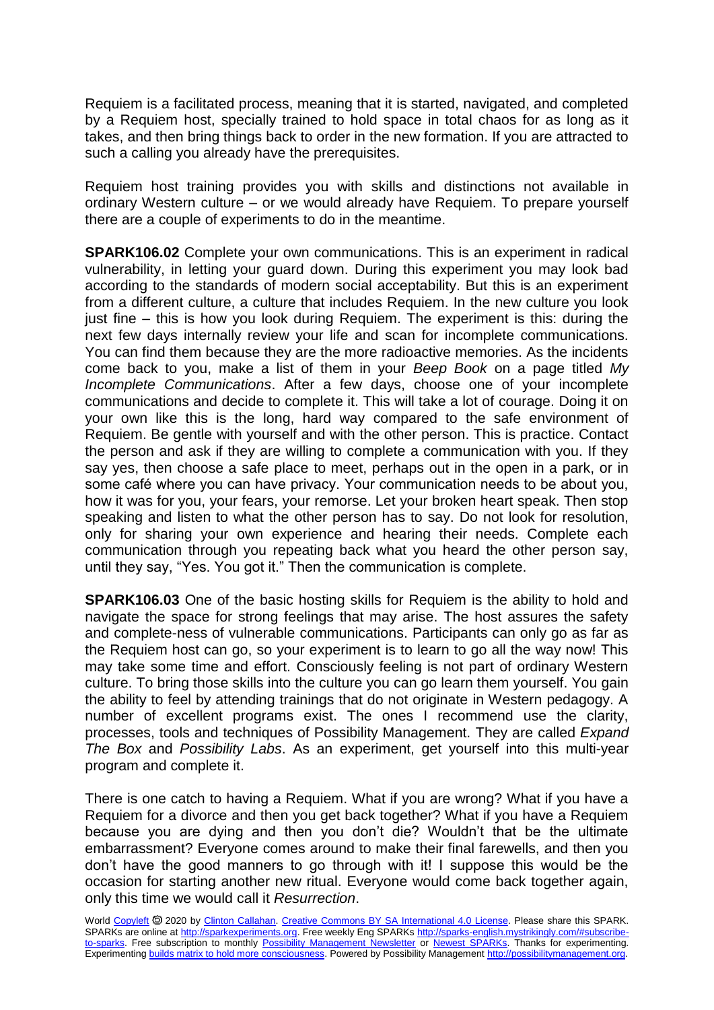Requiem is a facilitated process, meaning that it is started, navigated, and completed by a Requiem host, specially trained to hold space in total chaos for as long as it takes, and then bring things back to order in the new formation. If you are attracted to such a calling you already have the prerequisites.

Requiem host training provides you with skills and distinctions not available in ordinary Western culture – or we would already have Requiem. To prepare yourself there are a couple of experiments to do in the meantime.

**SPARK106.02** Complete your own communications. This is an experiment in radical vulnerability, in letting your guard down. During this experiment you may look bad according to the standards of modern social acceptability. But this is an experiment from a different culture, a culture that includes Requiem. In the new culture you look just fine – this is how you look during Requiem. The experiment is this: during the next few days internally review your life and scan for incomplete communications. You can find them because they are the more radioactive memories. As the incidents come back to you, make a list of them in your *Beep Book* on a page titled *My Incomplete Communications*. After a few days, choose one of your incomplete communications and decide to complete it. This will take a lot of courage. Doing it on your own like this is the long, hard way compared to the safe environment of Requiem. Be gentle with yourself and with the other person. This is practice. Contact the person and ask if they are willing to complete a communication with you. If they say yes, then choose a safe place to meet, perhaps out in the open in a park, or in some café where you can have privacy. Your communication needs to be about you, how it was for you, your fears, your remorse. Let your broken heart speak. Then stop speaking and listen to what the other person has to say. Do not look for resolution, only for sharing your own experience and hearing their needs. Complete each communication through you repeating back what you heard the other person say, until they say, "Yes. You got it." Then the communication is complete.

**SPARK106.03** One of the basic hosting skills for Requiem is the ability to hold and navigate the space for strong feelings that may arise. The host assures the safety and complete-ness of vulnerable communications. Participants can only go as far as the Requiem host can go, so your experiment is to learn to go all the way now! This may take some time and effort. Consciously feeling is not part of ordinary Western culture. To bring those skills into the culture you can go learn them yourself. You gain the ability to feel by attending trainings that do not originate in Western pedagogy. A number of excellent programs exist. The ones I recommend use the clarity, processes, tools and techniques of Possibility Management. They are called *Expand The Box* and *Possibility Labs*. As an experiment, get yourself into this multi-year program and complete it.

There is one catch to having a Requiem. What if you are wrong? What if you have a Requiem for a divorce and then you get back together? What if you have a Requiem because you are dying and then you don't die? Wouldn't that be the ultimate embarrassment? Everyone comes around to make their final farewells, and then you don't have the good manners to go through with it! I suppose this would be the occasion for starting another new ritual. Everyone would come back together again, only this time we would call it *Resurrection*.

World [Copyleft](https://en.wikipedia.org/wiki/Copyleft) <sup>®</sup> 2020 by [Clinton Callahan.](http://clintoncallahan.mystrikingly.com/) [Creative Commons BY SA International 4.0 License.](https://creativecommons.org/licenses/by-sa/4.0/) Please share this SPARK. SPARKs are online at [http://sparkexperiments.org.](http://sparks-english.mystrikingly.com/) Free weekly Eng SPARKs [http://sparks-english.mystrikingly.com/#subscribe](http://sparks-english.mystrikingly.com/#subscribe-to-sparks)[to-sparks.](http://sparks-english.mystrikingly.com/#subscribe-to-sparks) Free subscription to monthly [Possibility Management Newsletter](https://possibilitymanagement.org/news/) or [Newest SPARKs.](https://www.clintoncallahan.org/newsletter-1) Thanks for experimenting. Experimentin[g builds matrix to hold more consciousness.](http://spaceport.mystrikingly.com/) Powered by Possibility Managemen[t http://possibilitymanagement.org.](http://possibilitymanagement.org/)